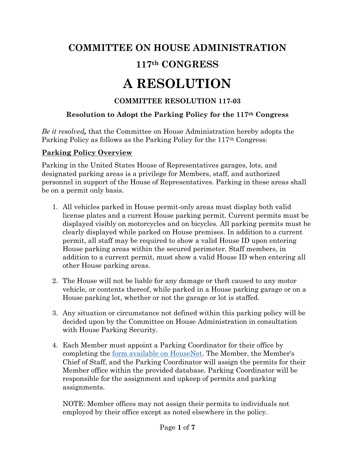# **COMMITTEE ON HOUSE ADMINISTRATION**

# **117th CONGRESS**

# **A RESOLUTION**

# **COMMITTEE RESOLUTION 117-03**

# **Resolution to Adopt the Parking Policy for the 117th Congress**

*Be it resolved,* that the Committee on House Administration hereby adopts the Parking Policy as follows as the Parking Policy for the 117th Congress:

# **Parking Policy Overview**

Parking in the United States House of Representatives garages, lots, and designated parking areas is a privilege for Members, staff, and authorized personnel in support of the House of Representatives. Parking in these areas shall be on a permit only basis.

- 1. All vehicles parked in House permit-only areas must display both valid license plates and a current House parking permit. Current permits must be displayed visibly on motorcycles and on bicycles. All parking permits must be clearly displayed while parked on House premises. In addition to a current permit, all staff may be required to show a valid House ID upon entering House parking areas within the secured perimeter. Staff members, in addition to a current permit, must show a valid House ID when entering all other House parking areas.
- 2. The House will not be liable for any damage or theft caused to any motor vehicle, or contents thereof, while parked in a House parking garage or on a House parking lot, whether or not the garage or lot is staffed.
- 3. Any situation or circumstance not defined within this parking policy will be decided upon by the Committee on House Administration in consultation with House Parking Security.
- 4. Each Member must appoint a Parking Coordinator for their office by completing the [form available on HouseNet.](https://housenet.house.gov/sites/housenet.house.gov/files/forms/parkingcoordinatordesignationform_0.pdf) The Member, the Member's Chief of Staff, and the Parking Coordinator will assign the permits for their Member office within the provided database. Parking Coordinator will be responsible for the assignment and upkeep of permits and parking assignments.

NOTE: Member offices may not assign their permits to individuals not employed by their office except as noted elsewhere in the policy.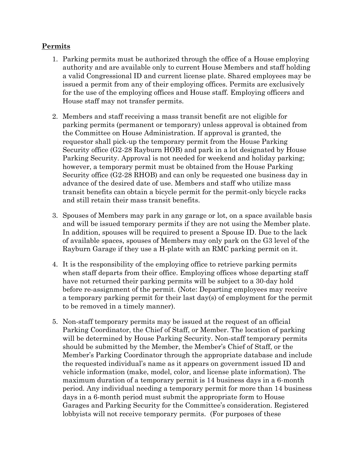#### **Permits**

- 1. Parking permits must be authorized through the office of a House employing authority and are available only to current House Members and staff holding a valid Congressional ID and current license plate. Shared employees may be issued a permit from any of their employing offices. Permits are exclusively for the use of the employing offices and House staff. Employing officers and House staff may not transfer permits.
- 2. Members and staff receiving a mass transit benefit are not eligible for parking permits (permanent or temporary) unless approval is obtained from the Committee on House Administration. If approval is granted, the requestor shall pick-up the temporary permit from the House Parking Security office (G2-28 Rayburn HOB) and park in a lot designated by House Parking Security. Approval is not needed for weekend and holiday parking; however, a temporary permit must be obtained from the House Parking Security office (G2-28 RHOB) and can only be requested one business day in advance of the desired date of use. Members and staff who utilize mass transit benefits can obtain a bicycle permit for the permit-only bicycle racks and still retain their mass transit benefits.
- 3. Spouses of Members may park in any garage or lot, on a space available basis and will be issued temporary permits if they are not using the Member plate. In addition, spouses will be required to present a Spouse ID. Due to the lack of available spaces, spouses of Members may only park on the G3 level of the Rayburn Garage if they use a H-plate with an RMC parking permit on it.
- 4. It is the responsibility of the employing office to retrieve parking permits when staff departs from their office. Employing offices whose departing staff have not returned their parking permits will be subject to a 30-day hold before re-assignment of the permit. (Note: Departing employees may receive a temporary parking permit for their last day(s) of employment for the permit to be removed in a timely manner).
- 5. Non-staff temporary permits may be issued at the request of an official Parking Coordinator, the Chief of Staff, or Member. The location of parking will be determined by House Parking Security. Non-staff temporary permits should be submitted by the Member, the Member's Chief of Staff, or the Member's Parking Coordinator through the appropriate database and include the requested individual's name as it appears on government issued ID and vehicle information (make, model, color, and license plate information). The maximum duration of a temporary permit is 14 business days in a 6-month period. Any individual needing a temporary permit for more than 14 business days in a 6-month period must submit the appropriate form to House Garages and Parking Security for the Committee's consideration. Registered lobbyists will not receive temporary permits. (For purposes of these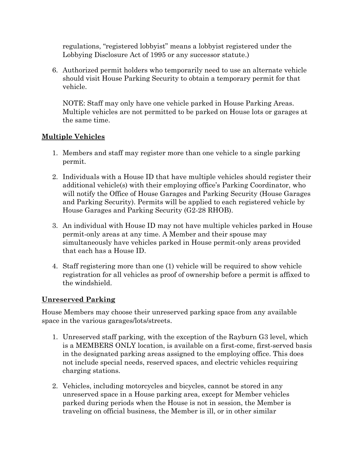regulations, "registered lobbyist" means a lobbyist registered under the Lobbying Disclosure Act of 1995 or any successor statute.)

6. Authorized permit holders who temporarily need to use an alternate vehicle should visit House Parking Security to obtain a temporary permit for that vehicle.

NOTE: Staff may only have one vehicle parked in House Parking Areas. Multiple vehicles are not permitted to be parked on House lots or garages at the same time.

#### **Multiple Vehicles**

- 1. Members and staff may register more than one vehicle to a single parking permit.
- 2. Individuals with a House ID that have multiple vehicles should register their additional vehicle(s) with their employing office's Parking Coordinator, who will notify the Office of House Garages and Parking Security (House Garages and Parking Security). Permits will be applied to each registered vehicle by House Garages and Parking Security (G2-28 RHOB).
- 3. An individual with House ID may not have multiple vehicles parked in House permit-only areas at any time. A Member and their spouse may simultaneously have vehicles parked in House permit-only areas provided that each has a House ID.
- 4. Staff registering more than one (1) vehicle will be required to show vehicle registration for all vehicles as proof of ownership before a permit is affixed to the windshield.

#### **Unreserved Parking**

House Members may choose their unreserved parking space from any available space in the various garages/lots/streets.

- 1. Unreserved staff parking, with the exception of the Rayburn G3 level, which is a MEMBERS ONLY location, is available on a first-come, first-served basis in the designated parking areas assigned to the employing office. This does not include special needs, reserved spaces, and electric vehicles requiring charging stations.
- 2. Vehicles, including motorcycles and bicycles, cannot be stored in any unreserved space in a House parking area, except for Member vehicles parked during periods when the House is not in session, the Member is traveling on official business, the Member is ill, or in other similar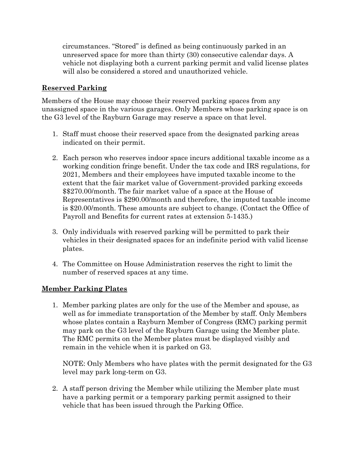circumstances. "Stored" is defined as being continuously parked in an unreserved space for more than thirty (30) consecutive calendar days. A vehicle not displaying both a current parking permit and valid license plates will also be considered a stored and unauthorized vehicle.

#### **Reserved Parking**

Members of the House may choose their reserved parking spaces from any unassigned space in the various garages. Only Members whose parking space is on the G3 level of the Rayburn Garage may reserve a space on that level.

- 1. Staff must choose their reserved space from the designated parking areas indicated on their permit.
- 2. Each person who reserves indoor space incurs additional taxable income as a working condition fringe benefit. Under the tax code and IRS regulations, for 2021, Members and their employees have imputed taxable income to the extent that the fair market value of Government-provided parking exceeds \$\$270.00/month. The fair market value of a space at the House of Representatives is \$290.00/month and therefore, the imputed taxable income is \$20.00/month. These amounts are subject to change. (Contact the Office of Payroll and Benefits for current rates at extension 5-1435.)
- 3. Only individuals with reserved parking will be permitted to park their vehicles in their designated spaces for an indefinite period with valid license plates.
- 4. The Committee on House Administration reserves the right to limit the number of reserved spaces at any time.

#### **Member Parking Plates**

1. Member parking plates are only for the use of the Member and spouse, as well as for immediate transportation of the Member by staff. Only Members whose plates contain a Rayburn Member of Congress (RMC) parking permit may park on the G3 level of the Rayburn Garage using the Member plate. The RMC permits on the Member plates must be displayed visibly and remain in the vehicle when it is parked on G3.

NOTE: Only Members who have plates with the permit designated for the G3 level may park long-term on G3.

2. A staff person driving the Member while utilizing the Member plate must have a parking permit or a temporary parking permit assigned to their vehicle that has been issued through the Parking Office.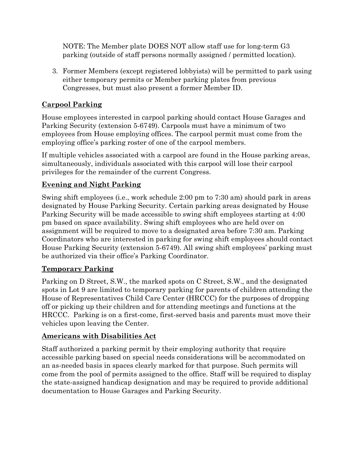NOTE: The Member plate DOES NOT allow staff use for long-term G3 parking (outside of staff persons normally assigned / permitted location).

3. Former Members (except registered lobbyists) will be permitted to park using either temporary permits or Member parking plates from previous Congresses, but must also present a former Member ID.

# **Carpool Parking**

House employees interested in carpool parking should contact House Garages and Parking Security (extension 5-6749). Carpools must have a minimum of two employees from House employing offices. The carpool permit must come from the employing office's parking roster of one of the carpool members.

If multiple vehicles associated with a carpool are found in the House parking areas, simultaneously, individuals associated with this carpool will lose their carpool privileges for the remainder of the current Congress.

# **Evening and Night Parking**

Swing shift employees (i.e., work schedule 2:00 pm to 7:30 am) should park in areas designated by House Parking Security. Certain parking areas designated by House Parking Security will be made accessible to swing shift employees starting at 4:00 pm based on space availability. Swing shift employees who are held over on assignment will be required to move to a designated area before 7:30 am. Parking Coordinators who are interested in parking for swing shift employees should contact House Parking Security (extension 5-6749). All swing shift employees' parking must be authorized via their office's Parking Coordinator.

# **Temporary Parking**

Parking on D Street, S.W., the marked spots on C Street, S.W., and the designated spots in Lot 9 are limited to temporary parking for parents of children attending the House of Representatives Child Care Center (HRCCC) for the purposes of dropping off or picking up their children and for attending meetings and functions at the HRCCC. Parking is on a first-come, first-served basis and parents must move their vehicles upon leaving the Center.

#### **Americans with Disabilities Act**

Staff authorized a parking permit by their employing authority that require accessible parking based on special needs considerations will be accommodated on an as-needed basis in spaces clearly marked for that purpose. Such permits will come from the pool of permits assigned to the office. Staff will be required to display the state-assigned handicap designation and may be required to provide additional documentation to House Garages and Parking Security.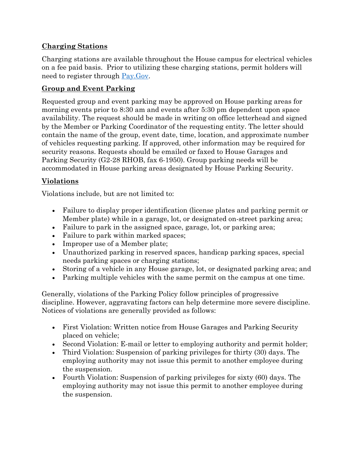# **Charging Stations**

Charging stations are available throughout the House campus for electrical vehicles on a fee paid basis. Prior to utilizing these charging stations, permit holders will need to register through  $\frac{Pay.Gov}{$ .

### **Group and Event Parking**

Requested group and event parking may be approved on House parking areas for morning events prior to 8:30 am and events after 5:30 pm dependent upon space availability. The request should be made in writing on office letterhead and signed by the Member or Parking Coordinator of the requesting entity. The letter should contain the name of the group, event date, time, location, and approximate number of vehicles requesting parking. If approved, other information may be required for security reasons. Requests should be emailed or faxed to House Garages and Parking Security (G2-28 RHOB, fax 6-1950). Group parking needs will be accommodated in House parking areas designated by House Parking Security.

# **Violations**

Violations include, but are not limited to:

- Failure to display proper identification (license plates and parking permit or Member plate) while in a garage, lot, or designated on-street parking area;
- Failure to park in the assigned space, garage, lot, or parking area;
- Failure to park within marked spaces;
- Improper use of a Member plate;
- Unauthorized parking in reserved spaces, handicap parking spaces, special needs parking spaces or charging stations;
- Storing of a vehicle in any House garage, lot, or designated parking area; and
- Parking multiple vehicles with the same permit on the campus at one time.

Generally, violations of the Parking Policy follow principles of progressive discipline. However, aggravating factors can help determine more severe discipline. Notices of violations are generally provided as follows:

- First Violation: Written notice from House Garages and Parking Security placed on vehicle;
- Second Violation: E-mail or letter to employing authority and permit holder;
- Third Violation: Suspension of parking privileges for thirty (30) days. The employing authority may not issue this permit to another employee during the suspension.
- Fourth Violation: Suspension of parking privileges for sixty (60) days. The employing authority may not issue this permit to another employee during the suspension.